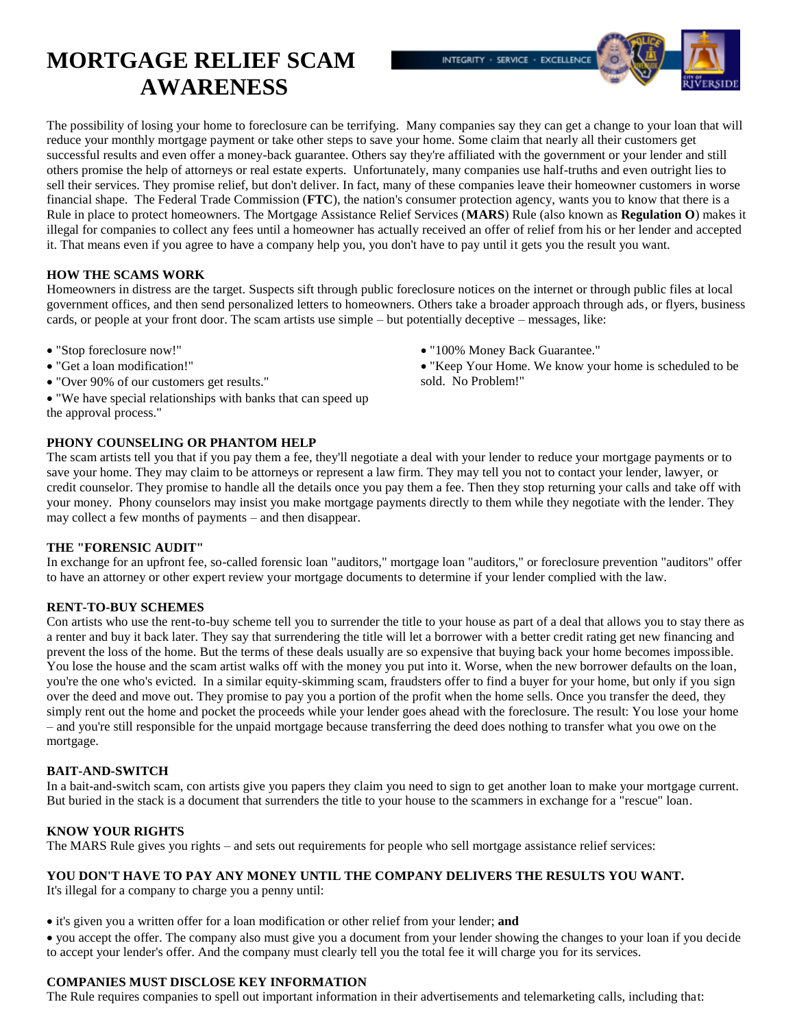# **MORTGAGE RELIEF SCAM AWARENESS**

The possibility of losing your home to foreclosure can be terrifying. Many companies say they can get a change to your loan that will reduce your monthly mortgage payment or take other steps to save your home. Some claim that nearly all their customers get successful results and even offer a money-back guarantee. Others say they're affiliated with the government or your lender and still others promise the help of attorneys or real estate experts. Unfortunately, many companies use half-truths and even outright lies to sell their services. They promise relief, but don't deliver. In fact, many of these companies leave their homeowner customers in worse financial shape. The Federal Trade Commission (**FTC**), the nation's consumer protection agency, wants you to know that there is a Rule in place to protect homeowners. The Mortgage Assistance Relief Services (**MARS**) Rule (also known as **Regulation O**) makes it illegal for companies to collect any fees until a homeowner has actually received an offer of relief from his or her lender and accepted it. That means even if you agree to have a company help you, you don't have to pay until it gets you the result you want.

## **HOW THE SCAMS WORK**

Homeowners in distress are the target. Suspects sift through public foreclosure notices on the internet or through public files at local government offices, and then send personalized letters to homeowners. Others take a broader approach through ads, or flyers, business cards, or people at your front door. The scam artists use simple – but potentially deceptive – messages, like:

- "Stop foreclosure now!"
- "Get a loan modification!"
- "Over 90% of our customers get results."
- "We have special relationships with banks that can speed up the approval process."

## **PHONY COUNSELING OR PHANTOM HELP**

The scam artists tell you that if you pay them a fee, they'll negotiate a deal with your lender to reduce your mortgage payments or to save your home. They may claim to be attorneys or represent a law firm. They may tell you not to contact your lender, lawyer, or credit counselor. They promise to handle all the details once you pay them a fee. Then they stop returning your calls and take off with your money. Phony counselors may insist you make mortgage payments directly to them while they negotiate with the lender. They may collect a few months of payments – and then disappear.

### **THE "FORENSIC AUDIT"**

In exchange for an upfront fee, so-called forensic loan "auditors," mortgage loan "auditors," or foreclosure prevention "auditors" offer to have an attorney or other expert review your mortgage documents to determine if your lender complied with the law.

### **RENT-TO-BUY SCHEMES**

Con artists who use the rent-to-buy scheme tell you to surrender the title to your house as part of a deal that allows you to stay there as a renter and buy it back later. They say that surrendering the title will let a borrower with a better credit rating get new financing and prevent the loss of the home. But the terms of these deals usually are so expensive that buying back your home becomes impossible. You lose the house and the scam artist walks off with the money you put into it. Worse, when the new borrower defaults on the loan, you're the one who's evicted. In a similar equity-skimming scam, fraudsters offer to find a buyer for your home, but only if you sign over the deed and move out. They promise to pay you a portion of the profit when the home sells. Once you transfer the deed, they simply rent out the home and pocket the proceeds while your lender goes ahead with the foreclosure. The result: You lose your home – and you're still responsible for the unpaid mortgage because transferring the deed does nothing to transfer what you owe on the mortgage.

### **BAIT-AND-SWITCH**

In a bait-and-switch scam, con artists give you papers they claim you need to sign to get another loan to make your mortgage current. But buried in the stack is a document that surrenders the title to your house to the scammers in exchange for a "rescue" loan.

## **KNOW YOUR RIGHTS**

The MARS Rule gives you rights – and sets out requirements for people who sell mortgage assistance relief services:

### **YOU DON'T HAVE TO PAY ANY MONEY UNTIL THE COMPANY DELIVERS THE RESULTS YOU WANT.**

It's illegal for a company to charge you a penny until:

it's given you a written offer for a loan modification or other relief from your lender; **and**

 you accept the offer. The company also must give you a document from your lender showing the changes to your loan if you decide to accept your lender's offer. And the company must clearly tell you the total fee it will charge you for its services.

### **COMPANIES MUST DISCLOSE KEY INFORMATION**

The Rule requires companies to spell out important information in their advertisements and telemarketing calls, including that:

"100% Money Back Guarantee."

INTEGRITY · SERVICE · EXCELLENCE

 "Keep Your Home. We know your home is scheduled to be sold. No Problem!"